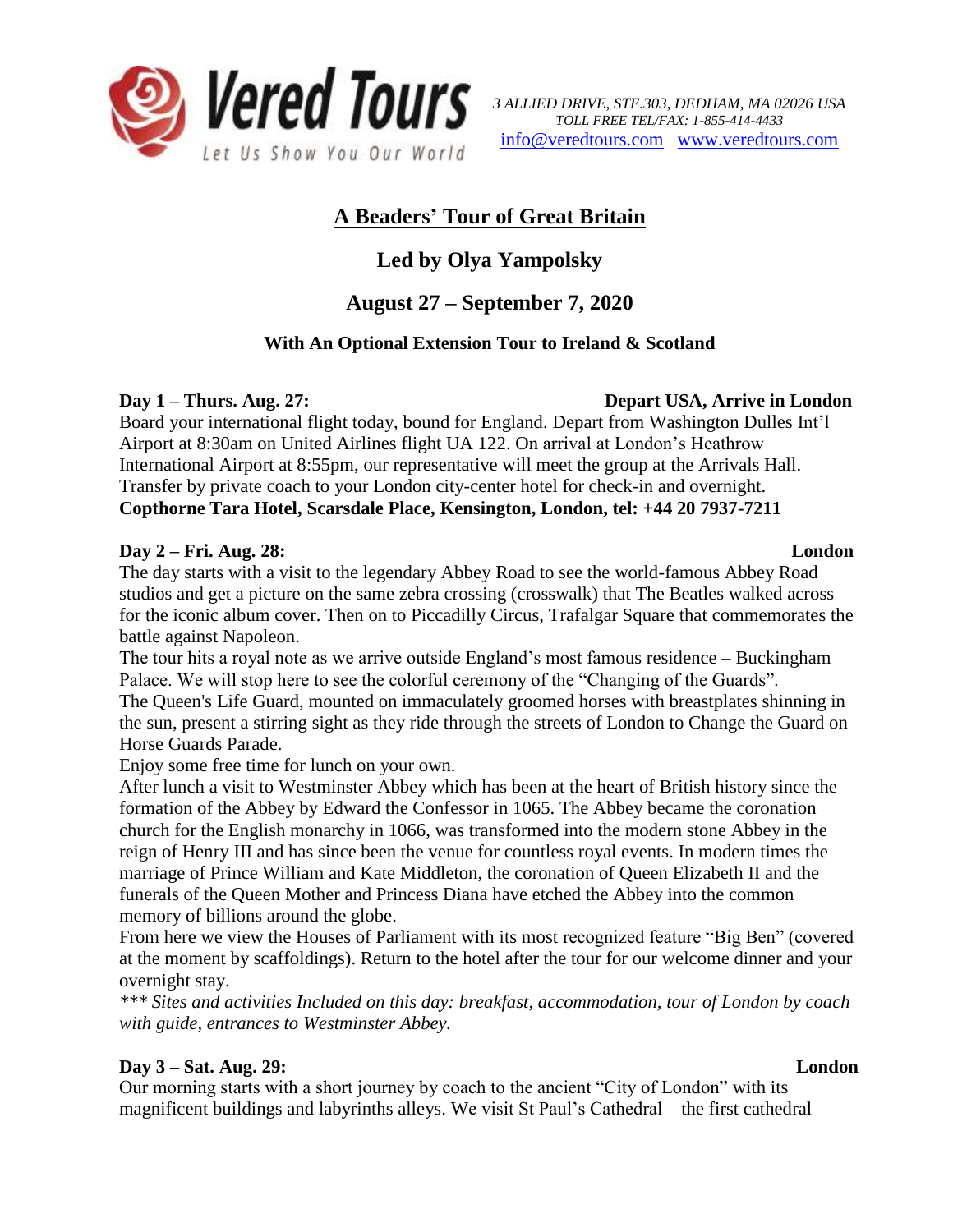

# **A Beaders' Tour of Great Britain**

# **Led by Olya Yampolsky**

# **August 27 – September 7, 2020**

## **With An Optional Extension Tour to Ireland & Scotland**

**Day 1 – Thurs. Aug. 27: Depart USA, Arrive in London**

Board your international flight today, bound for England. Depart from Washington Dulles Int'l Airport at 8:30am on United Airlines flight UA 122. On arrival at London's Heathrow International Airport at 8:55pm, our representative will meet the group at the Arrivals Hall. Transfer by private coach to your London city-center hotel for check-in and overnight. **Copthorne Tara Hotel, Scarsdale Place, Kensington, London, tel: +44 20 7937-7211**

### **Day 2 – Fri. Aug. 28: London**

The day starts with a visit to the legendary Abbey Road to see the world-famous Abbey Road studios and get a picture on the same zebra crossing (crosswalk) that The Beatles walked across for the iconic album cover. Then on to Piccadilly Circus, Trafalgar Square that commemorates the battle against Napoleon.

The tour hits a royal note as we arrive outside England's most famous residence – Buckingham Palace. We will stop here to see the colorful ceremony of the "Changing of the Guards". The Queen's Life Guard, mounted on immaculately groomed horses with breastplates shinning in the sun, present a stirring sight as they ride through the streets of London to Change the Guard on Horse Guards Parade.

Enjoy some free time for lunch on your own.

After lunch a visit to Westminster Abbey which has been at the heart of British history since the formation of the Abbey by Edward the Confessor in 1065. The Abbey became the coronation church for the English monarchy in 1066, was transformed into the modern stone Abbey in the reign of Henry III and has since been the venue for countless royal events. In modern times the marriage of Prince William and Kate Middleton, the coronation of Queen Elizabeth II and the funerals of the Queen Mother and Princess Diana have etched the Abbey into the common memory of billions around the globe.

From here we view the Houses of Parliament with its most recognized feature "Big Ben" (covered at the moment by scaffoldings). Return to the hotel after the tour for our welcome dinner and your overnight stay.

*\*\*\* Sites and activities Included on this day: breakfast, accommodation, tour of London by coach with guide, entrances to Westminster Abbey.*

## **Day 3 – Sat. Aug. 29: London**

Our morning starts with a short journey by coach to the ancient "City of London" with its magnificent buildings and labyrinths alleys. We visit St Paul's Cathedral – the first cathedral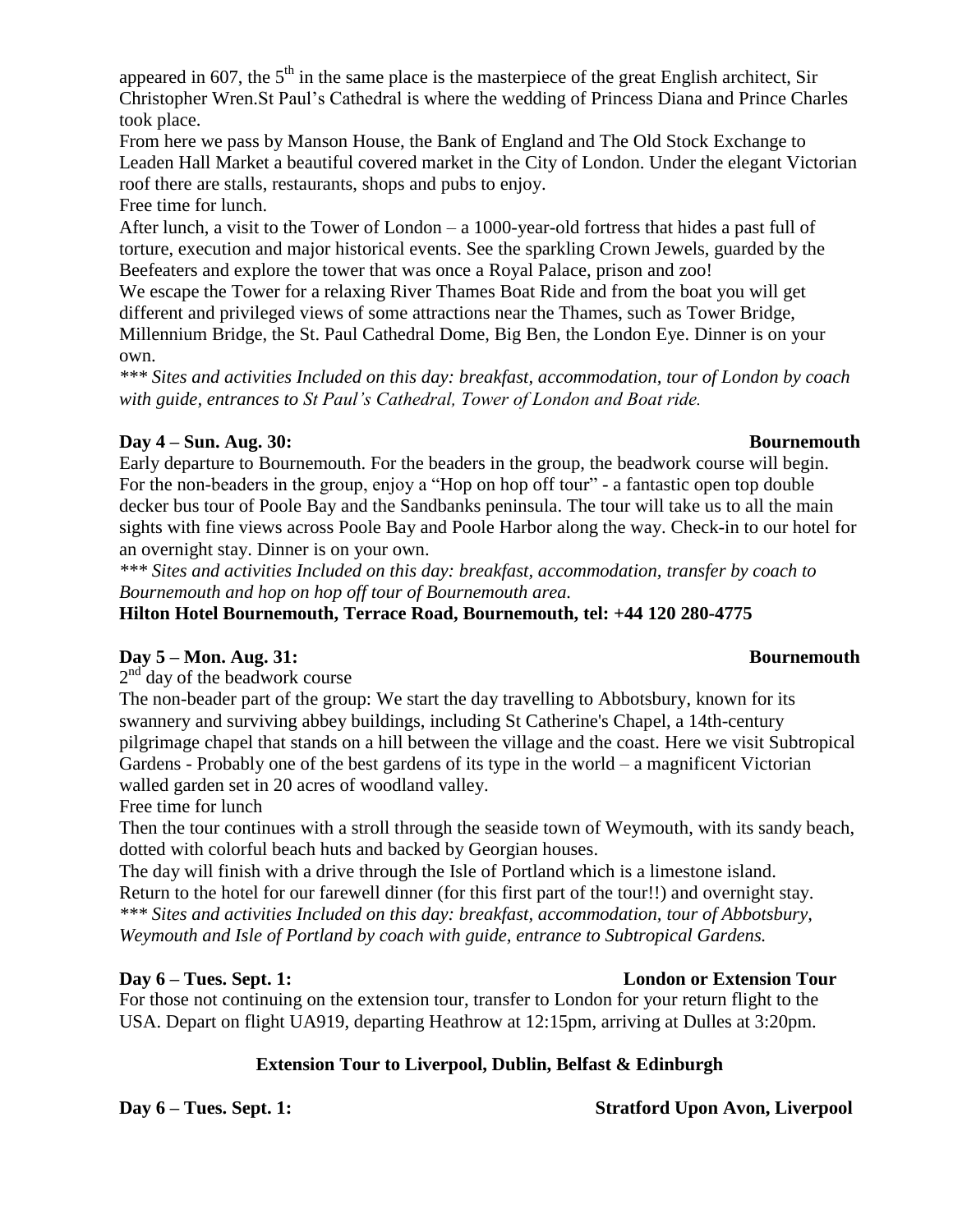appeared in 607, the  $5<sup>th</sup>$  in the same place is the masterpiece of the great English architect, Sir Christopher Wren.St Paul's Cathedral is where the wedding of Princess Diana and Prince Charles took place.

From here we pass by Manson House, the Bank of England and The Old Stock Exchange to Leaden Hall Market a beautiful covered market in the City of London. Under the elegant Victorian roof there are stalls, restaurants, shops and pubs to enjoy.

Free time for lunch.

After lunch, a visit to the Tower of London – a 1000-year-old fortress that hides a past full of torture, execution and major historical events. See the sparkling Crown Jewels, guarded by the Beefeaters and explore the tower that was once a Royal Palace, prison and zoo!

We escape the Tower for a relaxing River Thames Boat Ride and from the boat you will get different and privileged views of some attractions near the Thames, such as Tower Bridge, Millennium Bridge, the St. Paul Cathedral Dome, Big Ben, the London Eye. Dinner is on your own.

*\*\*\* Sites and activities Included on this day: breakfast, accommodation, tour of London by coach with guide, entrances to St Paul's Cathedral, Tower of London and Boat ride.*

### **Day 4 – Sun. Aug. 30: Bournemouth**

Early departure to Bournemouth. For the beaders in the group, the beadwork course will begin. For the non-beaders in the group, enjoy a "Hop on hop off tour" - a fantastic open top double decker bus tour of Poole Bay and the Sandbanks peninsula. The tour will take us to all the main sights with fine views across Poole Bay and Poole Harbor along the way. Check-in to our hotel for an overnight stay. Dinner is on your own.

*\*\*\* Sites and activities Included on this day: breakfast, accommodation, transfer by coach to Bournemouth and hop on hop off tour of Bournemouth area.*

**Hilton Hotel Bournemouth, Terrace Road, Bournemouth, tel: +44 120 280-4775**

### **Day 5 – Mon. Aug. 31: Bournemouth**

 $2<sup>nd</sup>$  day of the beadwork course

The non-beader part of the group: We start the day travelling to Abbotsbury, known for its swannery and surviving abbey buildings, including St Catherine's Chapel, a 14th-century pilgrimage chapel that stands on a hill between the village and the coast. Here we visit Subtropical Gardens - Probably one of the best gardens of its type in the world – a magnificent Victorian walled garden set in 20 acres of woodland valley.

Free time for lunch

Then the tour continues with a stroll through the seaside town of Weymouth, with its sandy beach, dotted with colorful beach huts and backed by Georgian houses.

The day will finish with a drive through the Isle of Portland which is a limestone island. Return to the hotel for our farewell dinner (for this first part of the tour!!) and overnight stay. *\*\*\* Sites and activities Included on this day: breakfast, accommodation, tour of Abbotsbury, Weymouth and Isle of Portland by coach with guide, entrance to Subtropical Gardens.*

For those not continuing on the extension tour, transfer to London for your return flight to the USA. Depart on flight UA919, departing Heathrow at 12:15pm, arriving at Dulles at 3:20pm.

### **Extension Tour to Liverpool, Dublin, Belfast & Edinburgh**

### **Day 6 – Tues. Sept. 1: London or Extension Tour**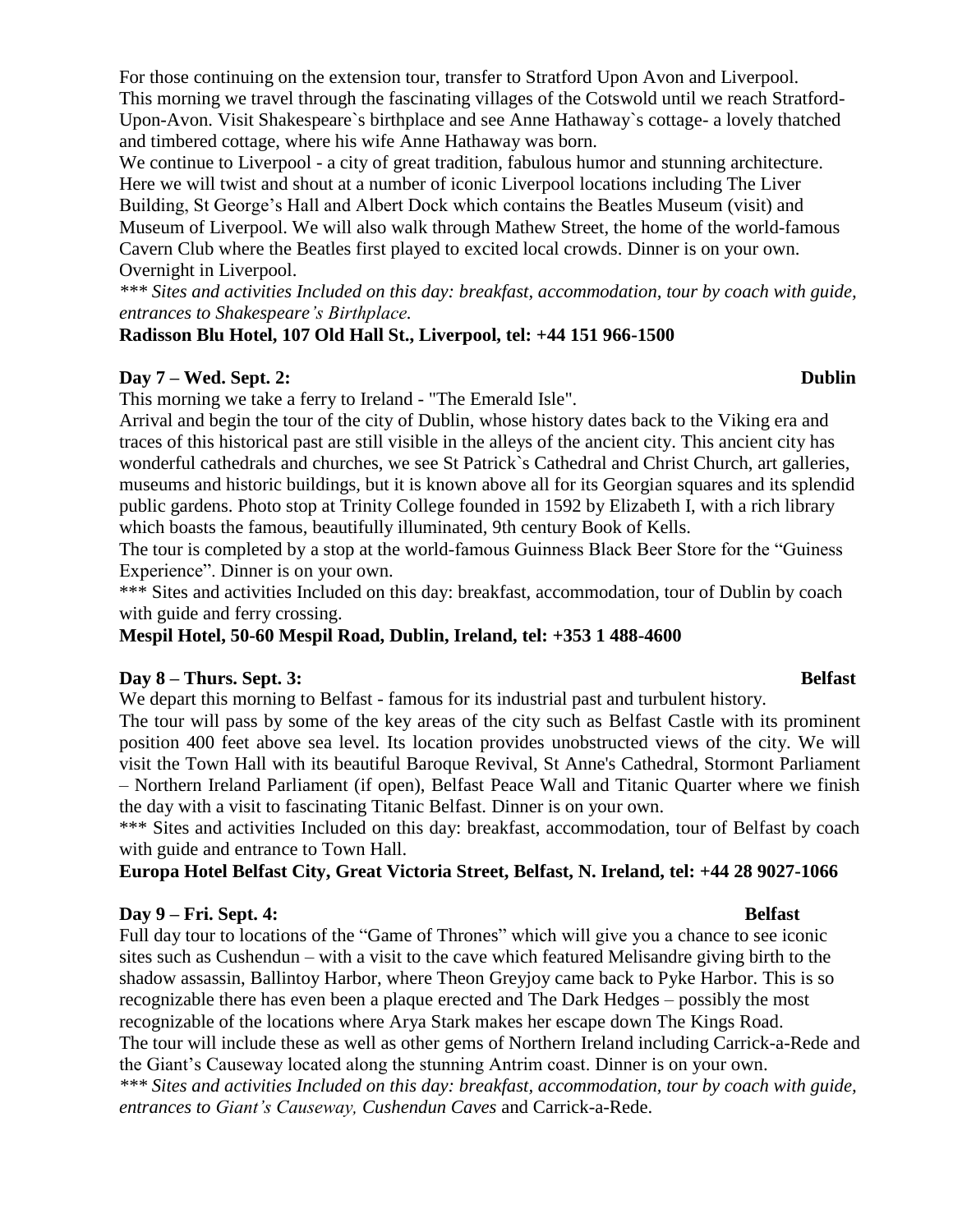For those continuing on the extension tour, transfer to Stratford Upon Avon and Liverpool. This morning we travel through the fascinating villages of the Cotswold until we reach Stratford-Upon-Avon. Visit Shakespeare`s birthplace and see Anne Hathaway`s cottage- a lovely thatched and timbered cottage, where his wife Anne Hathaway was born.

We continue to Liverpool - a city of great tradition, fabulous humor and stunning architecture. Here we will twist and shout at a number of iconic Liverpool locations including The Liver Building, St George's Hall and Albert Dock which contains the Beatles Museum (visit) and Museum of Liverpool. We will also walk through Mathew Street, the home of the world-famous Cavern Club where the Beatles first played to excited local crowds. Dinner is on your own. Overnight in Liverpool.

*\*\*\* Sites and activities Included on this day: breakfast, accommodation, tour by coach with guide, entrances to Shakespeare's Birthplace.*

**Radisson Blu Hotel, 107 Old Hall St., Liverpool, tel: +44 151 966-1500**

### **Day 7 – Wed. Sept. 2: Dublin**

This morning we take a ferry to Ireland - "The Emerald Isle".

Arrival and begin the tour of the city of Dublin, whose history dates back to the Viking era and traces of this historical past are still visible in the alleys of the ancient city. This ancient city has wonderful cathedrals and churches, we see St Patrick`s Cathedral and Christ Church, art galleries, museums and historic buildings, but it is known above all for its Georgian squares and its splendid public gardens. Photo stop at Trinity College founded in 1592 by Elizabeth I, with a rich library which boasts the famous, beautifully illuminated, 9th century Book of Kells.

The tour is completed by a stop at the world-famous Guinness Black Beer Store for the "Guiness Experience". Dinner is on your own.

\*\*\* Sites and activities Included on this day: breakfast, accommodation, tour of Dublin by coach with guide and ferry crossing.

**Mespil Hotel, 50-60 Mespil Road, Dublin, Ireland, tel: +353 1 488-4600**

### **Day 8 – Thurs. Sept. 3: Belfast**

We depart this morning to Belfast - famous for its industrial past and turbulent history.

The tour will pass by some of the key areas of the city such as Belfast Castle with its prominent position 400 feet above sea level. Its location provides unobstructed views of the city. We will visit the Town Hall with its beautiful Baroque Revival, St Anne's Cathedral, Stormont Parliament – Northern Ireland Parliament (if open), Belfast Peace Wall and Titanic Quarter where we finish the day with a visit to fascinating Titanic Belfast. Dinner is on your own.

\*\*\* Sites and activities Included on this day: breakfast, accommodation, tour of Belfast by coach with guide and entrance to Town Hall.

**Europa Hotel Belfast City, Great Victoria Street, Belfast, N. Ireland, tel: +44 28 9027-1066**

### **Day 9 – Fri. Sept. 4: Belfast**

Full day tour to locations of the "Game of Thrones" which will give you a chance to see iconic sites such as Cushendun – with a visit to the cave which featured Melisandre giving birth to the shadow assassin, Ballintoy Harbor, where Theon Greyjoy came back to Pyke Harbor. This is so recognizable there has even been a plaque erected and The Dark Hedges – possibly the most recognizable of the locations where Arya Stark makes her escape down The Kings Road. The tour will include these as well as other gems of Northern Ireland including Carrick-a-Rede and the Giant's Causeway located along the stunning Antrim coast. Dinner is on your own. *\*\*\* Sites and activities Included on this day: breakfast, accommodation, tour by coach with guide, entrances to Giant's Causeway, Cushendun Caves* and Carrick-a-Rede.